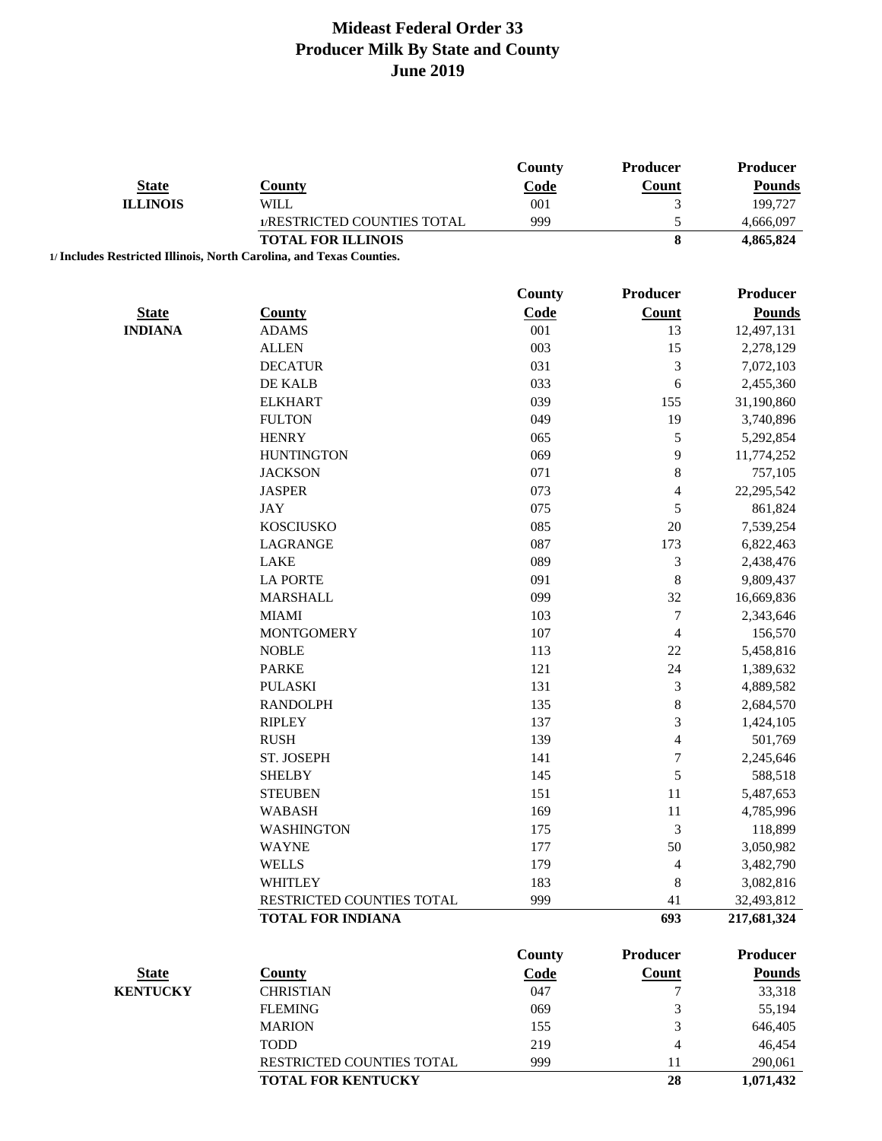|                 |                                                                      | County        | <b>Producer</b>          | Producer        |
|-----------------|----------------------------------------------------------------------|---------------|--------------------------|-----------------|
| <b>State</b>    | <b>County</b>                                                        | Code          | Count                    | <b>Pounds</b>   |
| <b>ILLINOIS</b> | WILL                                                                 | 001           | 3                        | 199,727         |
|                 | 1/RESTRICTED COUNTIES TOTAL                                          | 999           | 5                        | 4,666,097       |
|                 | <b>TOTAL FOR ILLINOIS</b>                                            |               | 8                        | 4,865,824       |
|                 | 1/ Includes Restricted Illinois, North Carolina, and Texas Counties. |               |                          |                 |
|                 |                                                                      | <b>County</b> | <b>Producer</b>          | <b>Producer</b> |
| <b>State</b>    | County                                                               | Code          | <b>Count</b>             | <b>Pounds</b>   |
| <b>INDIANA</b>  | <b>ADAMS</b>                                                         | 001           | 13                       | 12,497,131      |
|                 | <b>ALLEN</b>                                                         | 003           | 15                       | 2,278,129       |
|                 | <b>DECATUR</b>                                                       | 031           | $\mathfrak{Z}$           | 7,072,103       |
|                 | DE KALB                                                              | 033           | 6                        | 2,455,360       |
|                 | <b>ELKHART</b>                                                       | 039           | 155                      | 31,190,860      |
|                 | <b>FULTON</b>                                                        | 049           | 19                       | 3,740,896       |
|                 | <b>HENRY</b>                                                         | 065           | $\sqrt{5}$               | 5,292,854       |
|                 | <b>HUNTINGTON</b>                                                    | 069           | 9                        | 11,774,252      |
|                 | <b>JACKSON</b>                                                       | 071           | $\,8\,$                  | 757,105         |
|                 | <b>JASPER</b>                                                        | 073           | $\overline{\mathcal{A}}$ | 22,295,542      |
|                 | <b>JAY</b>                                                           | 075           | $\mathfrak s$            | 861,824         |
|                 |                                                                      |               | 20                       |                 |
|                 | <b>KOSCIUSKO</b>                                                     | 085           |                          | 7,539,254       |
|                 | <b>LAGRANGE</b><br><b>LAKE</b>                                       | 087           | 173                      | 6,822,463       |
|                 |                                                                      | 089           | $\mathfrak{Z}$           | 2,438,476       |
|                 | <b>LA PORTE</b>                                                      | 091           | $\,8\,$                  | 9,809,437       |
|                 | <b>MARSHALL</b>                                                      | 099           | 32                       | 16,669,836      |
|                 | <b>MIAMI</b>                                                         | 103           | $\boldsymbol{7}$         | 2,343,646       |
|                 | <b>MONTGOMERY</b>                                                    | 107           | $\overline{4}$           | 156,570         |
|                 | <b>NOBLE</b>                                                         | 113           | 22                       | 5,458,816       |
|                 | <b>PARKE</b>                                                         | 121           | 24                       | 1,389,632       |
|                 | <b>PULASKI</b>                                                       | 131           | $\mathfrak{Z}$           | 4,889,582       |
|                 | <b>RANDOLPH</b>                                                      | 135           | $\,8\,$                  | 2,684,570       |
|                 | <b>RIPLEY</b>                                                        | 137           | $\sqrt{3}$               | 1,424,105       |
|                 | <b>RUSH</b>                                                          | 139           | $\overline{4}$           | 501,769         |
|                 | ST. JOSEPH                                                           | 141           | $\boldsymbol{7}$         | 2,245,646       |
|                 | <b>SHELBY</b>                                                        | 145           | 5                        | 588,518         |
|                 | <b>STEUBEN</b>                                                       | 151           | 11                       | 5,487,653       |
|                 | <b>WABASH</b>                                                        | 169           | 11                       | 4,785,996       |
|                 | <b>WASHINGTON</b>                                                    | 175           | 3                        | 118,899         |
|                 | <b>WAYNE</b>                                                         | 177           | 50                       | 3,050,982       |
|                 | <b>WELLS</b>                                                         | 179           | $\overline{4}$           | 3,482,790       |
|                 | <b>WHITLEY</b>                                                       | 183           | 8                        | 3,082,816       |
|                 | RESTRICTED COUNTIES TOTAL                                            | 999           | 41                       | 32,493,812      |
|                 | <b>TOTAL FOR INDIANA</b>                                             |               | 693                      | 217,681,324     |
|                 |                                                                      | <b>County</b> | <b>Producer</b>          | Producer        |
| <b>State</b>    | <b>County</b>                                                        | Code          | Count                    | <b>Pounds</b>   |
| <b>KENTUCKY</b> | <b>CHRISTIAN</b>                                                     | 047           | 7                        | 33,318          |
|                 | <b>FLEMING</b>                                                       | 069           | $\mathfrak{Z}$           | 55,194          |
|                 | <b>MARION</b>                                                        | 155           | 3                        | 646,405         |
|                 | <b>TODD</b>                                                          | 219           | $\overline{4}$           | 46,454          |
|                 | RESTRICTED COUNTIES TOTAL                                            | 999           | 11                       | 290,061         |

**TOTAL FOR KENTUCKY** 28 1,071,432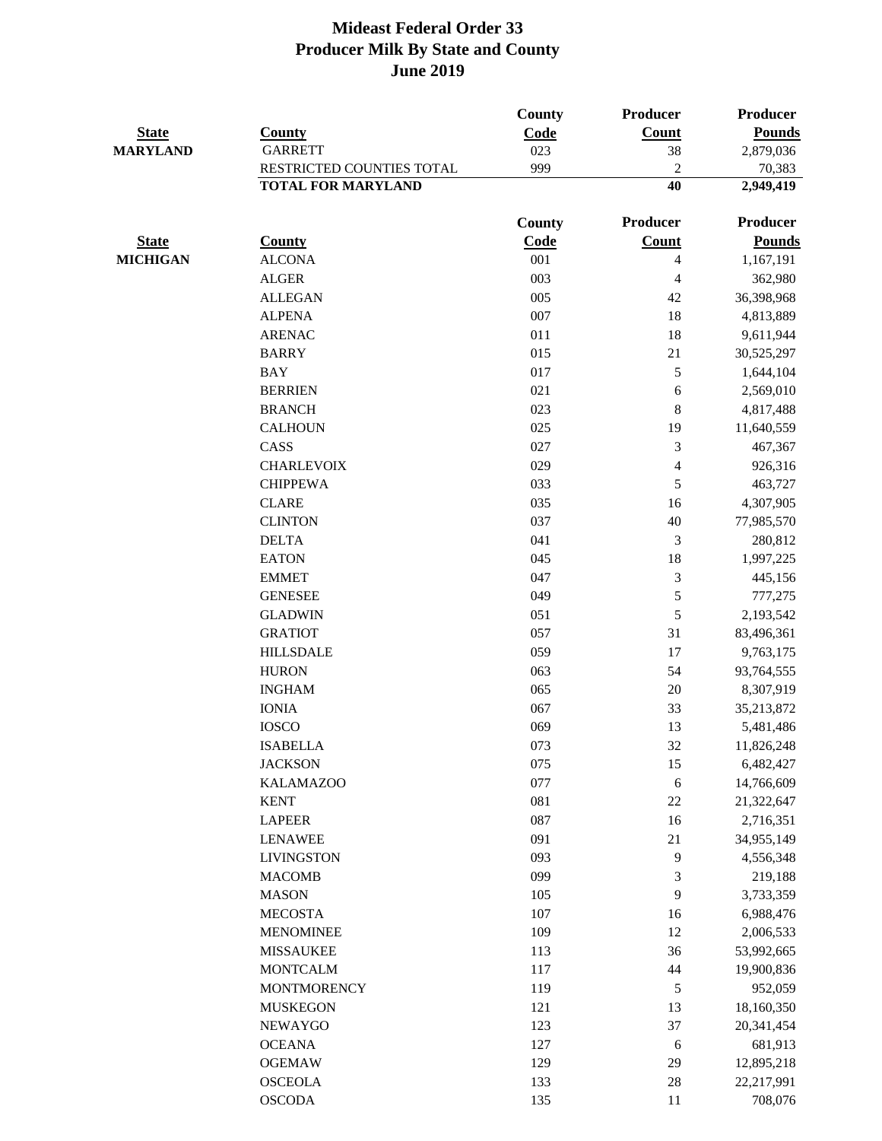|                 |                           | <b>County</b> | Producer       | <b>Producer</b>       |
|-----------------|---------------------------|---------------|----------------|-----------------------|
| <b>State</b>    | <b>County</b>             | Code          | Count          | <b>Pounds</b>         |
| <b>MARYLAND</b> | <b>GARRETT</b>            | 023           | 38             | 2,879,036             |
|                 | RESTRICTED COUNTIES TOTAL | 999           | $\overline{c}$ | 70,383                |
|                 | <b>TOTAL FOR MARYLAND</b> |               | 40             | 2,949,419             |
|                 |                           | County        | Producer       | <b>Producer</b>       |
| <b>State</b>    | <b>County</b>             | Code          | <b>Count</b>   | <b>Pounds</b>         |
| <b>MICHIGAN</b> | <b>ALCONA</b>             | 001           | $\overline{4}$ | 1,167,191             |
|                 | <b>ALGER</b>              | 003           | $\overline{4}$ | 362,980               |
|                 | <b>ALLEGAN</b>            | 005           | 42             | 36,398,968            |
|                 | <b>ALPENA</b>             | 007           | 18             | 4,813,889             |
|                 | <b>ARENAC</b>             | 011           | 18             | 9,611,944             |
|                 | <b>BARRY</b>              | 015           | 21             | 30,525,297            |
|                 | <b>BAY</b>                | 017           | $\sqrt{5}$     | 1,644,104             |
|                 | <b>BERRIEN</b>            | 021           | 6              | 2,569,010             |
|                 | <b>BRANCH</b>             | 023           | $\,8\,$        | 4,817,488             |
|                 | <b>CALHOUN</b>            | 025           | 19             | 11,640,559            |
|                 | CASS                      | 027           | 3              | 467,367               |
|                 | <b>CHARLEVOIX</b>         | 029           | $\overline{4}$ | 926,316               |
|                 | <b>CHIPPEWA</b>           | 033           | 5              | 463,727               |
|                 | <b>CLARE</b>              | 035           | 16             | 4,307,905             |
|                 | <b>CLINTON</b>            | 037           | 40             | 77,985,570            |
|                 | <b>DELTA</b>              | 041           | $\mathfrak{Z}$ | 280,812               |
|                 | <b>EATON</b>              | 045           | 18             | 1,997,225             |
|                 | <b>EMMET</b>              | 047           | $\mathfrak{Z}$ | 445,156               |
|                 | <b>GENESEE</b>            | 049           | 5              | 777,275               |
|                 | <b>GLADWIN</b>            | 051           | 5              | 2,193,542             |
|                 | <b>GRATIOT</b>            | 057           | 31             | 83,496,361            |
|                 | <b>HILLSDALE</b>          | 059           | 17             | 9,763,175             |
|                 | <b>HURON</b>              | 063           | 54             | 93,764,555            |
|                 | <b>INGHAM</b>             | 065           | 20             | 8,307,919             |
|                 | <b>IONIA</b>              | 067           | 33             | 35,213,872            |
|                 | <b>IOSCO</b>              | 069           | 13             | 5,481,486             |
|                 | <b>ISABELLA</b>           | 073           | 32             | 11,826,248            |
|                 | <b>JACKSON</b>            | 075           | 15             | 6,482,427             |
|                 | <b>KALAMAZOO</b>          | 077           | $\sqrt{6}$     | 14,766,609            |
|                 | <b>KENT</b>               | 081           | $22\,$         | 21,322,647            |
|                 | <b>LAPEER</b>             | 087           | 16             | 2,716,351             |
|                 | <b>LENAWEE</b>            | 091           | 21             | 34,955,149            |
|                 | <b>LIVINGSTON</b>         | 093           | 9              | 4,556,348             |
|                 | <b>MACOMB</b>             | 099           | 3              | 219,188               |
|                 | <b>MASON</b>              | 105           | 9              | 3,733,359             |
|                 | <b>MECOSTA</b>            | 107           | 16             | 6,988,476             |
|                 | <b>MENOMINEE</b>          | 109           | 12             | 2,006,533             |
|                 | <b>MISSAUKEE</b>          | 113           | 36             | 53,992,665            |
|                 | <b>MONTCALM</b>           | 117           | 44             |                       |
|                 | <b>MONTMORENCY</b>        | 119           | 5              | 19,900,836<br>952,059 |
|                 |                           |               |                |                       |
|                 | <b>MUSKEGON</b>           | 121           | 13<br>37       | 18,160,350            |
|                 | <b>NEWAYGO</b>            | 123           |                | 20,341,454            |
|                 | <b>OCEANA</b>             | 127           | 6              | 681,913               |
|                 | <b>OGEMAW</b>             | 129           | 29             | 12,895,218            |
|                 | <b>OSCEOLA</b>            | 133           | $28\,$         | 22,217,991            |
|                 | <b>OSCODA</b>             | 135           | 11             | 708,076               |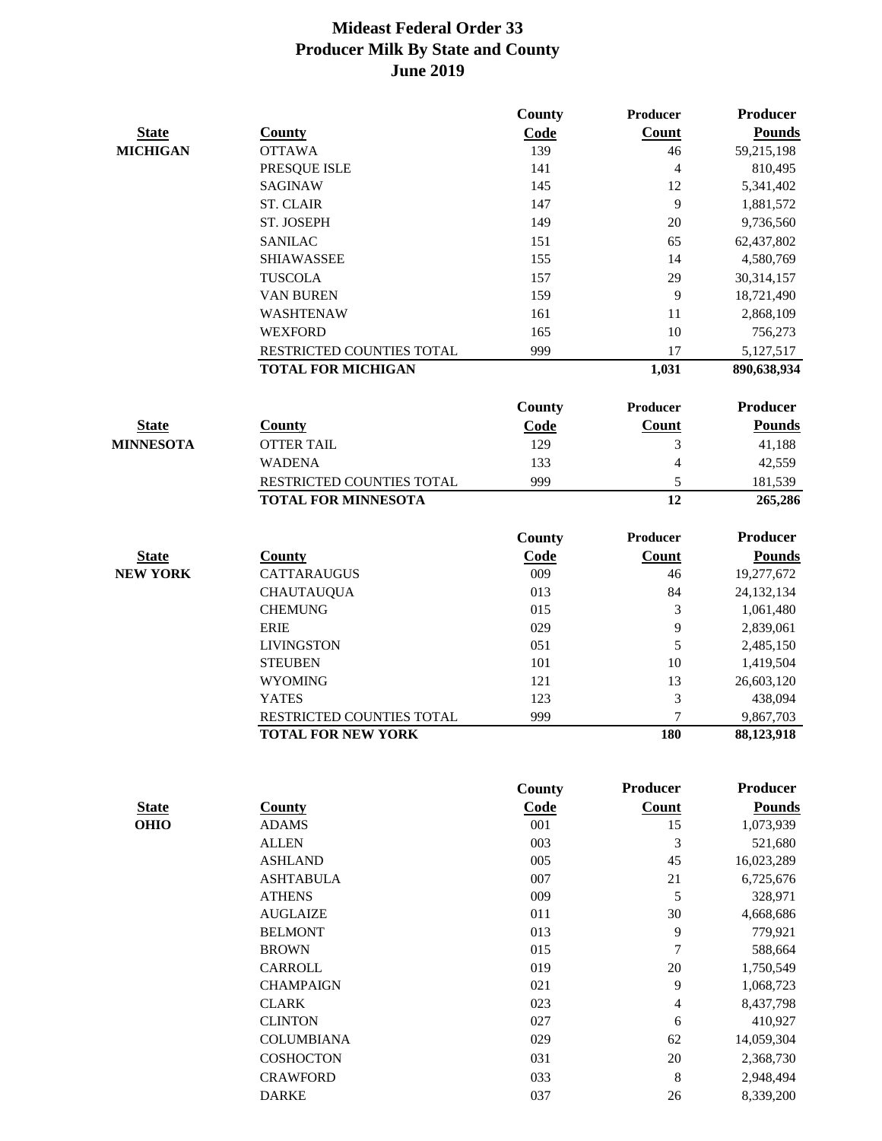|                  |                            | County        | Producer         | Producer        |
|------------------|----------------------------|---------------|------------------|-----------------|
| <b>State</b>     | <b>County</b>              | Code          | <b>Count</b>     | <b>Pounds</b>   |
| <b>MICHIGAN</b>  | <b>OTTAWA</b>              | 139           | 46               | 59,215,198      |
|                  | PRESQUE ISLE               | 141           | $\overline{4}$   | 810,495         |
|                  | <b>SAGINAW</b>             | 145           | 12               | 5,341,402       |
|                  | <b>ST. CLAIR</b>           | 147           | 9                | 1,881,572       |
|                  | ST. JOSEPH                 | 149           | 20               | 9,736,560       |
|                  | <b>SANILAC</b>             | 151           | 65               | 62,437,802      |
|                  | <b>SHIAWASSEE</b>          | 155           | 14               | 4,580,769       |
|                  | <b>TUSCOLA</b>             | 157           | 29               | 30,314,157      |
|                  | <b>VAN BUREN</b>           | 159           | 9                | 18,721,490      |
|                  | WASHTENAW                  | 161           | 11               | 2,868,109       |
|                  | <b>WEXFORD</b>             | 165           | 10               | 756,273         |
|                  | RESTRICTED COUNTIES TOTAL  | 999           | 17               | 5,127,517       |
|                  | <b>TOTAL FOR MICHIGAN</b>  |               | 1,031            | 890,638,934     |
|                  |                            | County        | <b>Producer</b>  | <b>Producer</b> |
|                  |                            |               |                  |                 |
| <b>State</b>     | <b>County</b>              | Code          | Count            | <b>Pounds</b>   |
| <b>MINNESOTA</b> | <b>OTTER TAIL</b>          | 129           | 3                | 41,188          |
|                  | <b>WADENA</b>              | 133           | 4                | 42,559          |
|                  | RESTRICTED COUNTIES TOTAL  | 999           | 5                | 181,539         |
|                  | <b>TOTAL FOR MINNESOTA</b> |               | 12               | 265,286         |
|                  |                            | <b>County</b> | <b>Producer</b>  | <b>Producer</b> |
| <b>State</b>     | County                     | <b>Code</b>   | <b>Count</b>     | <b>Pounds</b>   |
| <b>NEW YORK</b>  | <b>CATTARAUGUS</b>         | 009           | 46               | 19,277,672      |
|                  | <b>CHAUTAUQUA</b>          | 013           | 84               | 24,132,134      |
|                  | <b>CHEMUNG</b>             | 015           | 3                | 1,061,480       |
|                  | <b>ERIE</b>                | 029           | 9                | 2,839,061       |
|                  | <b>LIVINGSTON</b>          | 051           | 5                | 2,485,150       |
|                  | <b>STEUBEN</b>             | 101           | 10               | 1,419,504       |
|                  | <b>WYOMING</b>             | 121           | 13               | 26,603,120      |
|                  | <b>YATES</b>               | 123           | 3                | 438,094         |
|                  | RESTRICTED COUNTIES TOTAL  | 999           | $\overline{7}$   | 9,867,703       |
|                  | <b>TOTAL FOR NEW YORK</b>  |               | 180              | 88,123,918      |
|                  |                            |               |                  |                 |
|                  |                            | <b>County</b> | <b>Producer</b>  | <b>Producer</b> |
| <b>State</b>     | <b>County</b>              | Code          | <b>Count</b>     | <b>Pounds</b>   |
| <b>OHIO</b>      | <b>ADAMS</b>               | 001           | 15               | 1,073,939       |
|                  | <b>ALLEN</b>               | 003           | $\mathfrak{Z}$   | 521,680         |
|                  | <b>ASHLAND</b>             | 005           | 45               | 16,023,289      |
|                  | <b>ASHTABULA</b>           | 007           | 21               | 6,725,676       |
|                  | <b>ATHENS</b>              | 009           | 5                | 328,971         |
|                  | <b>AUGLAIZE</b>            | 011           | 30               | 4,668,686       |
|                  | <b>BELMONT</b>             | 013           | 9                | 779,921         |
|                  | <b>BROWN</b>               | 015           | $\boldsymbol{7}$ | 588,664         |
|                  | <b>CARROLL</b>             | 019           | 20               | 1,750,549       |
|                  | <b>CHAMPAIGN</b>           | 021           | $\overline{9}$   | 1,068,723       |
|                  | <b>CLARK</b>               | 023           | $\overline{4}$   | 8,437,798       |
|                  | <b>CLINTON</b>             | 027           | 6                | 410,927         |
|                  | <b>COLUMBIANA</b>          | 029           | 62               | 14,059,304      |
|                  | <b>COSHOCTON</b>           | 031           | 20               | 2,368,730       |
|                  | <b>CRAWFORD</b>            | 033           | $\,8\,$          | 2,948,494       |
|                  | <b>DARKE</b>               | 037           | 26               | 8,339,200       |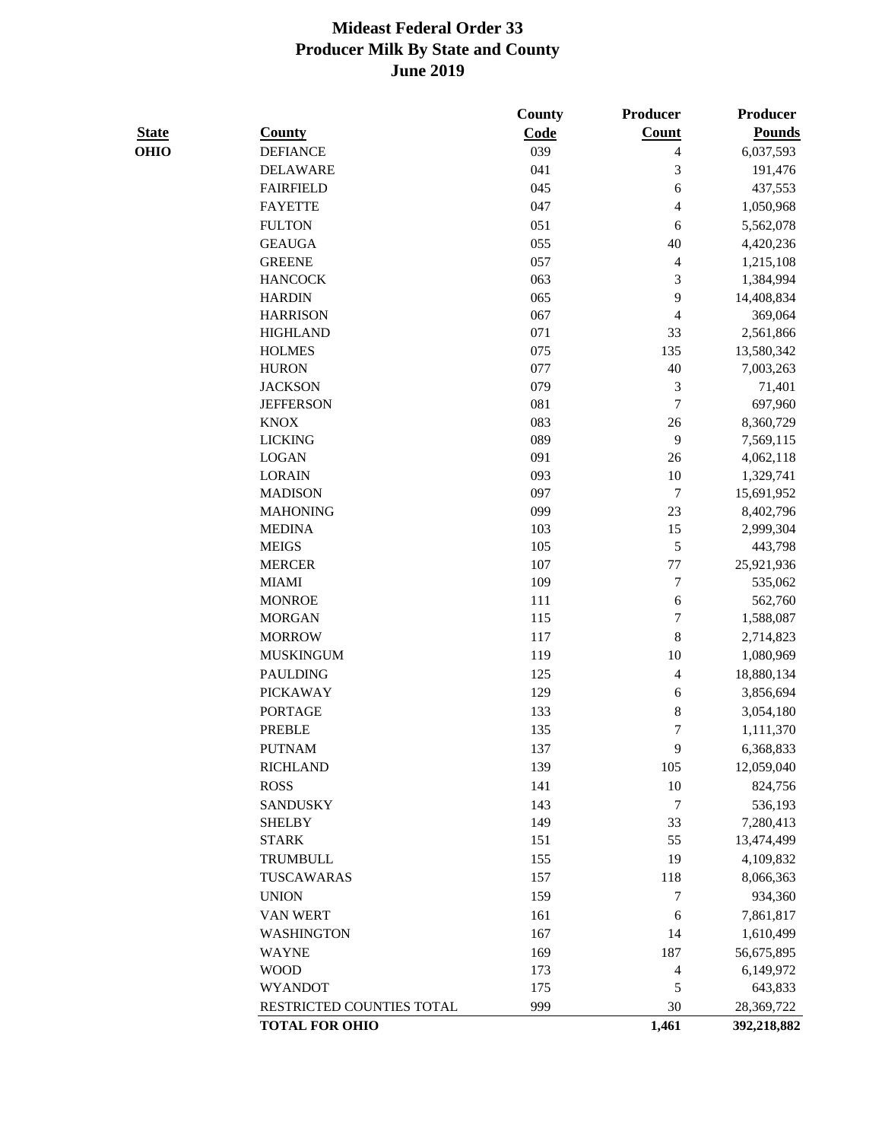|              |                           | County | <b>Producer</b>  | Producer      |
|--------------|---------------------------|--------|------------------|---------------|
| <b>State</b> | <b>County</b>             | Code   | <b>Count</b>     | <b>Pounds</b> |
| OHIO         | <b>DEFIANCE</b>           | 039    | $\overline{4}$   | 6,037,593     |
|              | <b>DELAWARE</b>           | 041    | 3                | 191,476       |
|              | <b>FAIRFIELD</b>          | 045    | 6                | 437,553       |
|              | <b>FAYETTE</b>            | 047    | 4                | 1,050,968     |
|              | <b>FULTON</b>             | 051    | 6                | 5,562,078     |
|              | <b>GEAUGA</b>             | 055    | 40               | 4,420,236     |
|              | <b>GREENE</b>             | 057    | $\overline{4}$   | 1,215,108     |
|              | <b>HANCOCK</b>            | 063    | $\mathfrak{Z}$   | 1,384,994     |
|              | <b>HARDIN</b>             | 065    | 9                | 14,408,834    |
|              | <b>HARRISON</b>           | 067    | $\overline{4}$   | 369,064       |
|              | <b>HIGHLAND</b>           | 071    | 33               | 2,561,866     |
|              | <b>HOLMES</b>             | 075    | 135              | 13,580,342    |
|              | <b>HURON</b>              | 077    | 40               | 7,003,263     |
|              | <b>JACKSON</b>            | 079    | $\mathfrak{Z}$   | 71,401        |
|              | <b>JEFFERSON</b>          | 081    | $\tau$           | 697,960       |
|              | <b>KNOX</b>               | 083    | 26               | 8,360,729     |
|              | <b>LICKING</b>            | 089    | 9                | 7,569,115     |
|              | <b>LOGAN</b>              | 091    | 26               | 4,062,118     |
|              | <b>LORAIN</b>             | 093    | 10               | 1,329,741     |
|              | <b>MADISON</b>            | 097    | $\tau$           | 15,691,952    |
|              | <b>MAHONING</b>           | 099    | 23               | 8,402,796     |
|              | <b>MEDINA</b>             | 103    | 15               | 2,999,304     |
|              | <b>MEIGS</b>              | 105    | $\sqrt{5}$       | 443,798       |
|              | <b>MERCER</b>             | 107    | $77 \,$          | 25,921,936    |
|              | <b>MIAMI</b>              | 109    | $\boldsymbol{7}$ | 535,062       |
|              | <b>MONROE</b>             | 111    | $\sqrt{6}$       | 562,760       |
|              | <b>MORGAN</b>             | 115    | 7                | 1,588,087     |
|              | <b>MORROW</b>             | 117    | $\,8\,$          | 2,714,823     |
|              | <b>MUSKINGUM</b>          | 119    | 10               | 1,080,969     |
|              | <b>PAULDING</b>           | 125    | $\overline{4}$   | 18,880,134    |
|              | <b>PICKAWAY</b>           | 129    | 6                | 3,856,694     |
|              | <b>PORTAGE</b>            | 133    | $\,8\,$          | 3,054,180     |
|              | <b>PREBLE</b>             | 135    | $\boldsymbol{7}$ | 1,111,370     |
|              | <b>PUTNAM</b>             | 137    | 9                | 6,368,833     |
|              | <b>RICHLAND</b>           | 139    | 105              | 12,059,040    |
|              | <b>ROSS</b>               | 141    | 10               | 824,756       |
|              | <b>SANDUSKY</b>           | 143    | $\tau$           | 536,193       |
|              | <b>SHELBY</b>             | 149    | 33               | 7,280,413     |
|              | <b>STARK</b>              | 151    | 55               | 13,474,499    |
|              | <b>TRUMBULL</b>           | 155    | 19               | 4,109,832     |
|              | TUSCAWARAS                | 157    | 118              |               |
|              |                           |        |                  | 8,066,363     |
|              | <b>UNION</b>              | 159    | $\tau$           | 934,360       |
|              | VAN WERT                  | 161    | 6                | 7,861,817     |
|              | <b>WASHINGTON</b>         | 167    | 14               | 1,610,499     |
|              | <b>WAYNE</b>              | 169    | 187              | 56,675,895    |
|              | <b>WOOD</b>               | 173    | $\overline{4}$   | 6,149,972     |
|              | <b>WYANDOT</b>            | 175    | 5                | 643,833       |
|              | RESTRICTED COUNTIES TOTAL | 999    | 30               | 28,369,722    |
|              | <b>TOTAL FOR OHIO</b>     |        | 1,461            | 392,218,882   |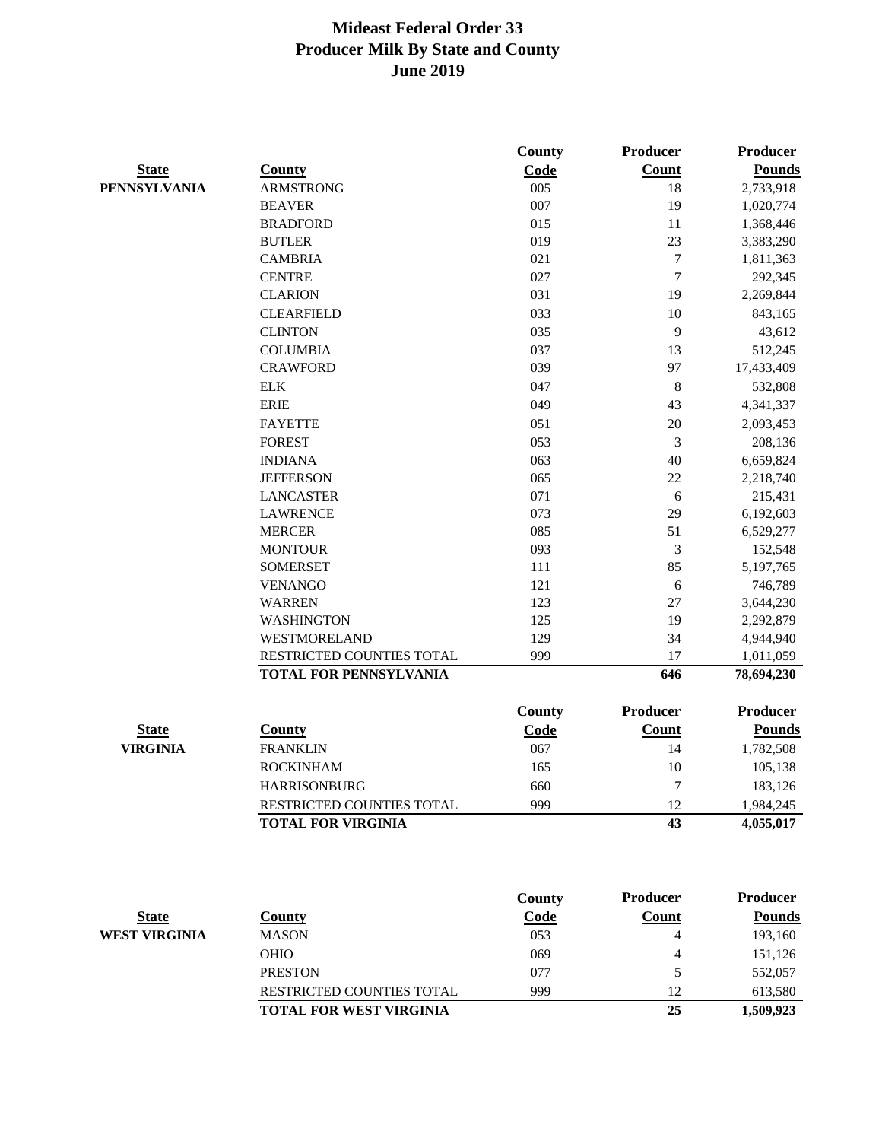|                     |                               | <b>County</b> | <b>Producer</b>  | <b>Producer</b> |
|---------------------|-------------------------------|---------------|------------------|-----------------|
| <b>State</b>        | <b>County</b>                 | Code          | <b>Count</b>     | <b>Pounds</b>   |
| <b>PENNSYLVANIA</b> | <b>ARMSTRONG</b>              | 005           | 18               | 2,733,918       |
|                     | <b>BEAVER</b>                 | 007           | 19               | 1,020,774       |
|                     | <b>BRADFORD</b>               | 015           | 11               | 1,368,446       |
|                     | <b>BUTLER</b>                 | 019           | 23               | 3,383,290       |
|                     | <b>CAMBRIA</b>                | 021           | $\tau$           | 1,811,363       |
|                     | <b>CENTRE</b>                 | 027           | $\tau$           | 292,345         |
|                     | <b>CLARION</b>                | 031           | 19               | 2,269,844       |
|                     | <b>CLEARFIELD</b>             | 033           | 10               | 843,165         |
|                     | <b>CLINTON</b>                | 035           | 9                | 43,612          |
|                     | <b>COLUMBIA</b>               | 037           | 13               | 512,245         |
|                     | <b>CRAWFORD</b>               | 039           | 97               | 17,433,409      |
|                     | ${\rm ELK}$                   | 047           | $\boldsymbol{8}$ | 532,808         |
|                     | <b>ERIE</b>                   | 049           | 43               | 4,341,337       |
|                     | <b>FAYETTE</b>                | 051           | 20               | 2,093,453       |
|                     | <b>FOREST</b>                 | 053           | 3                | 208,136         |
|                     | <b>INDIANA</b>                | 063           | 40               | 6,659,824       |
|                     | <b>JEFFERSON</b>              | 065           | 22               | 2,218,740       |
|                     | <b>LANCASTER</b>              | 071           | 6                | 215,431         |
|                     | <b>LAWRENCE</b>               | 073           | 29               | 6,192,603       |
|                     | <b>MERCER</b>                 | 085           | 51               | 6,529,277       |
|                     | <b>MONTOUR</b>                | 093           | 3                | 152,548         |
|                     | <b>SOMERSET</b>               | 111           | 85               | 5,197,765       |
|                     | <b>VENANGO</b>                | 121           | 6                | 746,789         |
|                     | <b>WARREN</b>                 | 123           | 27               | 3,644,230       |
|                     | <b>WASHINGTON</b>             | 125           | 19               | 2,292,879       |
|                     | WESTMORELAND                  | 129           | 34               | 4,944,940       |
|                     | RESTRICTED COUNTIES TOTAL     | 999           | 17               | 1,011,059       |
|                     | <b>TOTAL FOR PENNSYLVANIA</b> |               | 646              | 78,694,230      |
|                     |                               | <b>County</b> | <b>Producer</b>  | <b>Producer</b> |
| <b>State</b>        | <b>County</b>                 | Code          | <b>Count</b>     | <b>Pounds</b>   |
| <b>VIRGINIA</b>     | <b>FRANKLIN</b>               | 067           | 14               | 1,782,508       |
|                     | <b>ROCKINHAM</b>              | 165           | $10\,$           | 105,138         |
|                     | <b>HARRISONBURG</b>           | 660           | 7                | 183,126         |
|                     | RESTRICTED COUNTIES TOTAL     | 999           | 12               | 1,984,245       |
|                     | <b>TOTAL FOR VIRGINIA</b>     |               | 43               | 4,055,017       |

|               |                                  | <b>County</b> | <b>Producer</b> | <b>Producer</b> |
|---------------|----------------------------------|---------------|-----------------|-----------------|
| <b>State</b>  | Countv                           | Code          | Count           | <b>Pounds</b>   |
| WEST VIRGINIA | <b>MASON</b>                     | 053           |                 | 193,160         |
|               | <b>OHIO</b>                      | 069           |                 | 151,126         |
|               | <b>PRESTON</b>                   | 077           |                 | 552,057         |
|               | <b>RESTRICTED COUNTIES TOTAL</b> | 999           | 12              | 613,580         |
|               | <b>TOTAL FOR WEST VIRGINIA</b>   |               | 25              | 1,509,923       |